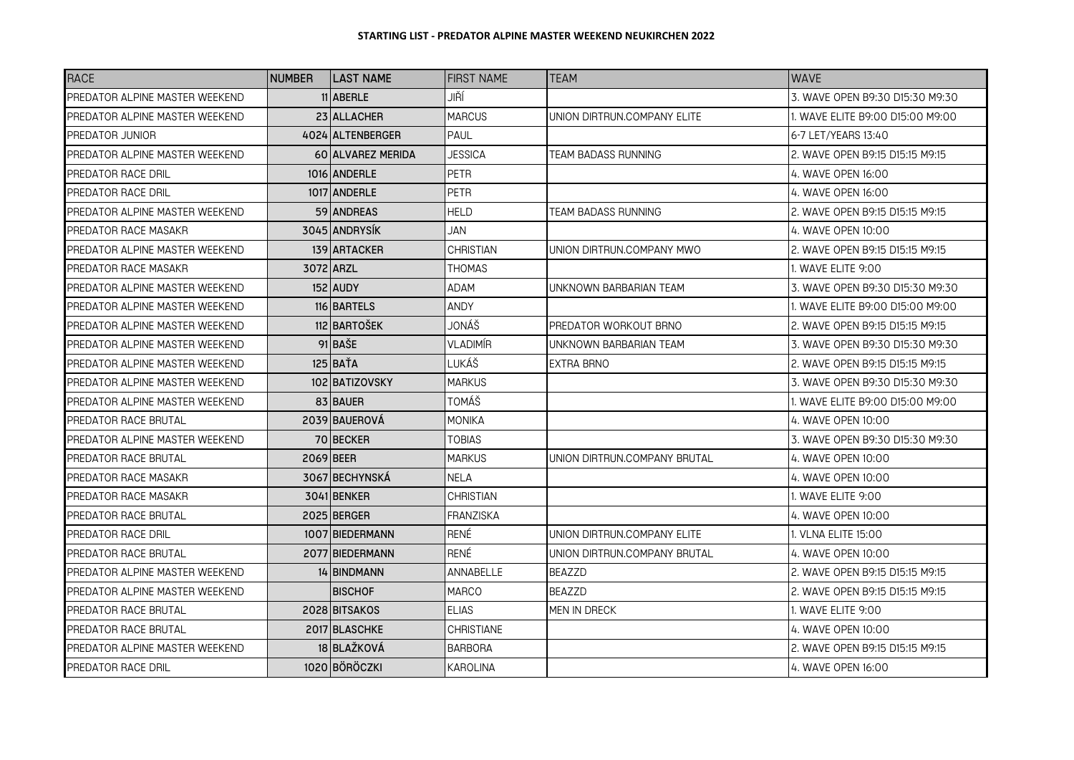| <b>RACE</b>                    | <b>NUMBER</b> | <b>LAST NAME</b>         | <b>FIRST NAME</b> | TEAM                         | <b>WAVF</b>                      |
|--------------------------------|---------------|--------------------------|-------------------|------------------------------|----------------------------------|
| PREDATOR ALPINE MASTER WEEKEND |               | 11 ABERLE                | JIŘÍ              |                              | 3. WAVE OPEN B9:30 D15:30 M9:30  |
| PREDATOR ALPINE MASTER WEEKEND |               | 23 ALLACHER              | <b>MARCUS</b>     | UNION DIRTRUN.COMPANY ELITE  | 1. WAVE ELITE B9:00 D15:00 M9:00 |
| PREDATOR JUNIOR                |               | 4024 ALTENBERGER         | PAUL              |                              | 6-7 LET/YEARS 13:40              |
| PREDATOR ALPINE MASTER WEEKEND |               | <b>60 ALVAREZ MERIDA</b> | <b>JESSICA</b>    | <b>TEAM BADASS RUNNING</b>   | 2. WAVE OPEN B9:15 D15:15 M9:15  |
| PREDATOR RACE DRIL             |               | 1016 ANDERLE             | <b>PETR</b>       |                              | 4. WAVE OPEN 16:00               |
| PREDATOR RACE DRIL             |               | 1017 ANDERLE             | <b>PETR</b>       |                              | 4. WAVE OPEN 16:00               |
| PREDATOR ALPINE MASTER WEEKEND |               | 59 ANDREAS               | HELD              | TEAM BADASS RUNNING          | 2. WAVE OPEN B9:15 D15:15 M9:15  |
| IPREDATOR RACE MASAKR          |               | 3045 ANDRYSÍK            | JAN               |                              | 4. WAVE OPEN 10:00               |
| PREDATOR ALPINE MASTER WEEKEND |               | 139 ARTACKER             | <b>CHRISTIAN</b>  | UNION DIRTRUN.COMPANY MWO    | 2. WAVE OPEN B9:15 D15:15 M9:15  |
| <b>PREDATOR RACE MASAKR</b>    |               | 3072 ARZL                | <b>THOMAS</b>     |                              | 1. WAVE ELITE 9:00               |
| PREDATOR ALPINE MASTER WEEKEND |               | 152 AUDY                 | <b>ADAM</b>       | UNKNOWN BARBARIAN TEAM       | 3. WAVE OPEN B9:30 D15:30 M9:30  |
| PREDATOR ALPINE MASTER WEEKEND |               | 116 BARTELS              | ANDY              |                              | 1. WAVE ELITE B9:00 D15:00 M9:00 |
| PREDATOR ALPINE MASTER WEEKEND |               | 112 BARTOŠEK             | JONÁŠ             | PREDATOR WORKOUT BRNO        | 2. WAVE OPEN B9:15 D15:15 M9:15  |
| PREDATOR ALPINE MASTER WEEKEND |               | 91 BAŠE                  | VLADIMÍR          | UNKNOWN BARBARIAN TEAM       | 3. WAVE OPEN B9:30 D15:30 M9:30  |
| PREDATOR ALPINE MASTER WEEKEND |               | 125 BAŤA                 | LUKÁŠ             | EXTRA BRNO                   | 2. WAVE OPEN B9:15 D15:15 M9:15  |
| PREDATOR ALPINE MASTER WEEKEND |               | 102 BATIZOVSKY           | <b>MARKUS</b>     |                              | 3. WAVE OPEN B9:30 D15:30 M9:30  |
| PREDATOR ALPINE MASTER WEEKEND |               | 83 BAUER                 | TOMÁŠ             |                              | 1. WAVE ELITE B9:00 D15:00 M9:00 |
| <b>PREDATOR RACE BRUTAL</b>    |               | 2039 BAUEROVÁ            | <b>MONIKA</b>     |                              | 4. WAVE OPEN 10:00               |
| PREDATOR ALPINE MASTER WEEKEND |               | 70 BECKER                | TOBIAS            |                              | 3. WAVE OPEN B9:30 D15:30 M9:30  |
| PREDATOR RACE BRUTAL           |               | 2069 BEER                | <b>MARKUS</b>     | UNION DIRTRUN.COMPANY BRUTAL | 4. WAVE OPEN 10:00               |
| PREDATOR RACE MASAKR           |               | 3067 BECHYNSKÁ           | <b>NELA</b>       |                              | 4. WAVE OPEN 10:00               |
| PREDATOR RACE MASAKR           |               | 3041 BENKER              | <b>CHRISTIAN</b>  |                              | 1. WAVE ELITE 9:00               |
| PREDATOR RACE BRUTAL           |               | 2025 BERGER              | FRANZISKA         |                              | 4. WAVE OPEN 10:00               |
| PREDATOR RACE DRIL             |               | 1007 BIEDERMANN          | RENÉ              | UNION DIRTRUN.COMPANY ELITE  | 1. VLNA ELITE 15:00              |
| PREDATOR RACE BRUTAL           |               | 2077 BIEDERMANN          | <b>RENÉ</b>       | UNION DIRTRUN.COMPANY BRUTAL | 4. WAVE OPEN 10:00               |
| PREDATOR ALPINE MASTER WEEKEND |               | 14 BINDMANN              | ANNABELLE         | BEAZZD                       | 2. WAVE OPEN B9:15 D15:15 M9:15  |
| PREDATOR ALPINE MASTER WEEKEND |               | <b>BISCHOF</b>           | <b>MARCO</b>      | <b>BEAZZD</b>                | 2. WAVE OPEN B9:15 D15:15 M9:15  |
| <b>PREDATOR RACE BRUTAL</b>    |               | 2028 BITSAKOS            | <b>ELIAS</b>      | MEN IN DRECK                 | 1. WAVE ELITE 9:00               |
| <b>PREDATOR RACE BRUTAL</b>    |               | 2017 BLASCHKE            | <b>CHRISTIANE</b> |                              | 4. WAVE OPEN 10:00               |
| PREDATOR ALPINE MASTER WEEKEND |               | 18 BLAŽKOVÁ              | BARBORA           |                              | 2. WAVE OPEN B9:15 D15:15 M9:15  |
| PREDATOR RACE DRIL             |               | 1020 BÖRÖCZKI            | KAROLINA          |                              | 4. WAVE OPEN 16:00               |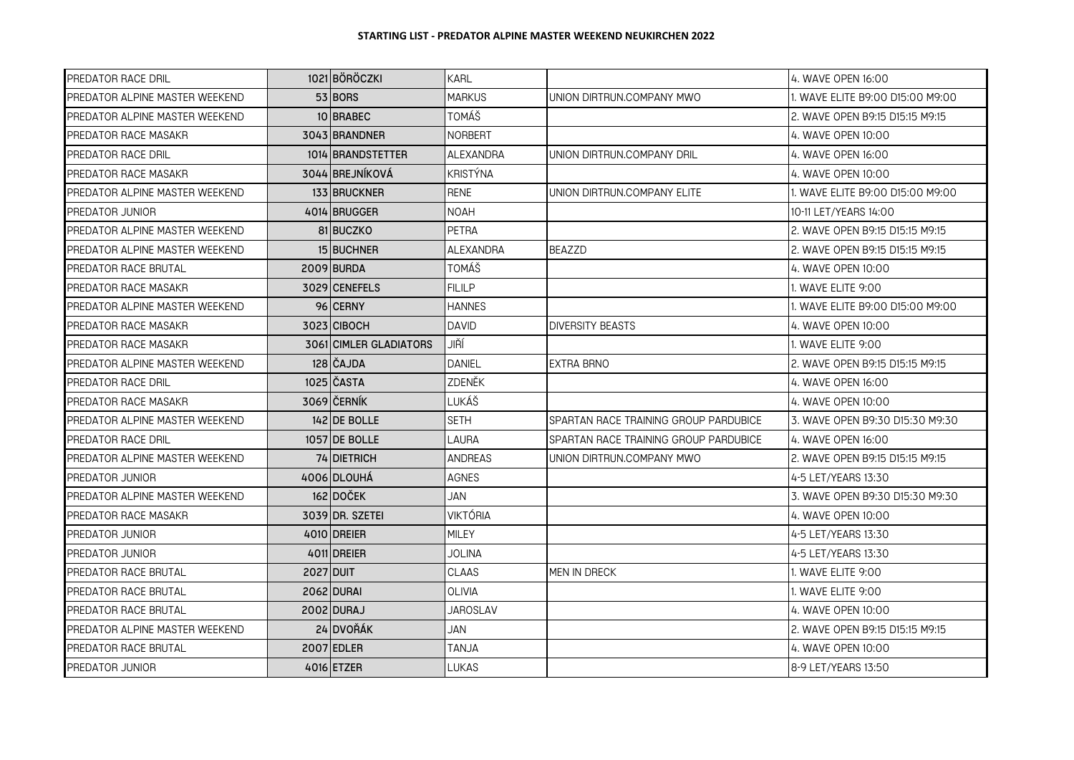| PREDATOR RACE DRIL             |           | 1021 BÖRÖCZKI                 | <b>KARL</b>      |                                       | 4. WAVE OPEN 16:00               |
|--------------------------------|-----------|-------------------------------|------------------|---------------------------------------|----------------------------------|
| PREDATOR ALPINE MASTER WEEKEND |           | 53 BORS                       | <b>MARKUS</b>    | UNION DIRTRUN.COMPANY MWO             | 1. WAVE ELITE B9:00 D15:00 M9:00 |
| PREDATOR ALPINE MASTER WEEKEND |           | 10 BRABEC                     | TOMÁŠ            |                                       | 2. WAVE OPEN B9:15 D15:15 M9:15  |
| PREDATOR RACE MASAKR           |           | 3043 BRANDNER                 | <b>NORBERT</b>   |                                       | 4. WAVE OPEN 10:00               |
| PREDATOR RACE DRIL             |           | 1014 BRANDSTETTER             | <b>ALEXANDRA</b> | UNION DIRTRUN.COMPANY DRIL            | 4. WAVE OPEN 16:00               |
| PREDATOR RACE MASAKR           |           | 3044 BREJNÍKOVÁ               | <b>KRISTÝNA</b>  |                                       | 4. WAVE OPEN 10:00               |
| PREDATOR ALPINE MASTER WEEKEND |           | 133 BRUCKNER                  | <b>RENE</b>      | UNION DIRTRUN.COMPANY ELITE           | 1. WAVE ELITE B9:00 D15:00 M9:00 |
| PREDATOR JUNIOR                |           | 4014 BRUGGER                  | <b>NOAH</b>      |                                       | 10-11 LET/YEARS 14:00            |
| PREDATOR ALPINE MASTER WEEKEND |           | 81 BUCZKO                     | PETRA            |                                       | 2. WAVE OPEN B9:15 D15:15 M9:15  |
| PREDATOR ALPINE MASTER WEEKEND |           | 15 BUCHNER                    | ALEXANDRA        | <b>BEAZZD</b>                         | 2. WAVE OPEN B9:15 D15:15 M9:15  |
| PREDATOR RACE BRUTAL           |           | 2009 BURDA                    | TOMÁŠ            |                                       | 4. WAVE OPEN 10:00               |
| PREDATOR RACE MASAKR           |           | 3029 CENEFELS                 | <b>FILILP</b>    |                                       | 1. WAVE ELITE 9:00               |
| PREDATOR ALPINE MASTER WEEKEND |           | 96 CERNY                      | <b>HANNES</b>    |                                       | 1. WAVE ELITE B9:00 D15:00 M9:00 |
| PREDATOR RACE MASAKR           |           | 3023 CIBOCH                   | <b>DAVID</b>     | <b>DIVERSITY BEASTS</b>               | 4. WAVE OPEN 10:00               |
| PREDATOR RACE MASAKR           |           | <b>3061 CIMLER GLADIATORS</b> | JIŘÍ             |                                       | 1. WAVE ELITE 9:00               |
| PREDATOR ALPINE MASTER WEEKEND |           | 128 ČAJDA                     | <b>DANIEL</b>    | <b>EXTRA BRNO</b>                     | 2. WAVE OPEN B9:15 D15:15 M9:15  |
| PREDATOR RACE DRIL             |           | 1025 IČASTA                   | ZDENĚK           |                                       | 4. WAVE OPEN 16:00               |
| PREDATOR RACE MASAKR           |           | 3069 ČERNÍK                   | LUKÁŠ            |                                       | 4. WAVE OPEN 10:00               |
| PREDATOR ALPINE MASTER WEEKEND |           | 142 DE BOLLE                  | <b>SETH</b>      | SPARTAN RACE TRAINING GROUP PARDUBICE | 3. WAVE OPEN B9:30 D15:30 M9:30  |
| PREDATOR RACE DRIL             |           | 1057 IDE BOLLE                | LAURA            | SPARTAN RACE TRAINING GROUP PARDUBICE | 4. WAVE OPEN 16:00               |
| PREDATOR ALPINE MASTER WEEKEND |           | <b>74 DIETRICH</b>            | <b>ANDREAS</b>   | UNION DIRTRUN.COMPANY MWO             | 2. WAVE OPEN B9:15 D15:15 M9:15  |
| PREDATOR JUNIOR                |           | 4006 DLOUHÁ                   | <b>AGNES</b>     |                                       | 4-5 LET/YEARS 13:30              |
| PREDATOR ALPINE MASTER WEEKEND |           | 162 DOČEK                     | JAN              |                                       | 3. WAVE OPEN B9:30 D15:30 M9:30  |
| PREDATOR RACE MASAKR           |           | 3039 DR. SZETEI               | <b>VIKTÓRIA</b>  |                                       | 4. WAVE OPEN 10:00               |
| PREDATOR JUNIOR                |           | 4010 DREIER                   | <b>MILEY</b>     |                                       | 4-5 LET/YEARS 13:30              |
| PREDATOR JUNIOR                |           | 4011 DREIER                   | JOLINA           |                                       | 4-5 LET/YEARS 13:30              |
| PREDATOR RACE BRUTAL           | 2027 DUIT |                               | <b>CLAAS</b>     | MEN IN DRECK                          | 1. WAVE ELITE 9:00               |
| PREDATOR RACE BRUTAL           |           | 2062 DURAI                    | <b>OLIVIA</b>    |                                       | 1. WAVE ELITE 9:00               |
| PREDATOR RACE BRUTAL           |           | 2002 DURAJ                    | <b>JAROSLAV</b>  |                                       | 4. WAVE OPEN 10:00               |
| PREDATOR ALPINE MASTER WEEKEND |           | 24 DVOŘÁK                     | JAN              |                                       | 2. WAVE OPEN B9:15 D15:15 M9:15  |
| PREDATOR RACE BRUTAL           |           | 2007 EDLER                    | <b>ALAAT</b>     |                                       | 4. WAVE OPEN 10:00               |
| PREDATOR JUNIOR                |           | 4016 ETZER                    | LUKAS            |                                       | 8-9 LET/YEARS 13:50              |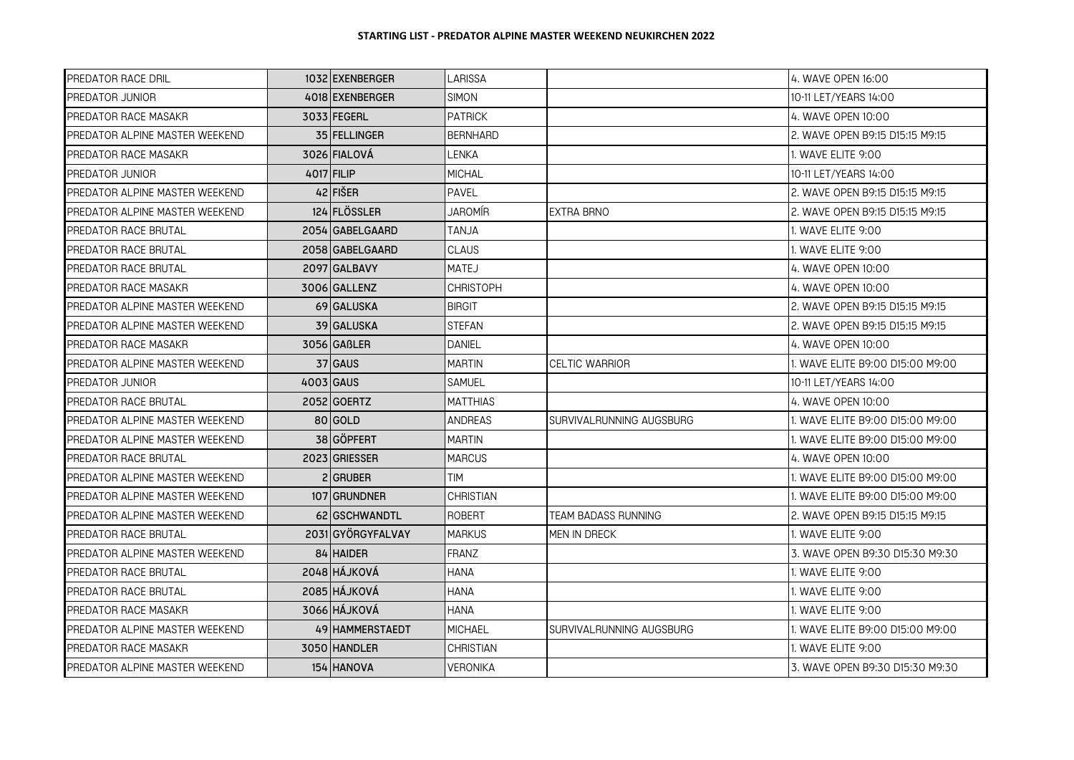| PREDATOR RACE DRIL             | 1032 EXENBERGER     | LARISSA          |                          | 4. WAVE OPEN 16:00               |
|--------------------------------|---------------------|------------------|--------------------------|----------------------------------|
| PREDATOR JUNIOR                | 4018 EXENBERGER     | <b>SIMON</b>     |                          | 10-11 LET/YEARS 14:00            |
| PREDATOR RACE MASAKR           | 3033 FEGERL         | <b>PATRICK</b>   |                          | 4. WAVE OPEN 10:00               |
| PREDATOR ALPINE MASTER WEEKEND | <b>35 FELLINGER</b> | <b>BERNHARD</b>  |                          | 2. WAVE OPEN B9:15 D15:15 M9:15  |
| PREDATOR RACE MASAKR           | 3026 FIALOVÁ        | LENKA            |                          | 1. WAVE ELITE 9:00               |
| <b>PREDATOR JUNIOR</b>         | 4017 FILIP          | <b>MICHAL</b>    |                          | 10-11 LET/YEARS 14:00            |
| PREDATOR ALPINE MASTER WEEKEND | $42$ FISER          | <b>PAVEL</b>     |                          | 2. WAVE OPEN B9:15 D15:15 M9:15  |
| PREDATOR ALPINE MASTER WEEKEND | 124 FLÖSSLER        | JAROMÍR          | <b>EXTRA BRNO</b>        | 2. WAVE OPEN B9:15 D15:15 M9:15  |
| PREDATOR RACE BRUTAL           | 2054 GABELGAARD     | ALNAT            |                          | 1. WAVE ELITE 9:00               |
| PREDATOR RACE BRUTAL           | 2058 GABELGAARD     | <b>CLAUS</b>     |                          | 1. WAVE ELITE 9:00               |
| PREDATOR RACE BRUTAL           | 2097 GALBAVY        | <b>MATEJ</b>     |                          | 4. WAVE OPEN 10:00               |
| <b>PREDATOR RACE MASAKR</b>    | 3006 GALLENZ        | <b>CHRISTOPH</b> |                          | 4. WAVE OPEN 10:00               |
| PREDATOR ALPINE MASTER WEEKEND | 69 GALUSKA          | <b>BIRGIT</b>    |                          | l2. WAVE OPEN B9:15 D15:15 M9:15 |
| PREDATOR ALPINE MASTER WEEKEND | <b>39 GALUSKA</b>   | <b>STEFAN</b>    |                          | 2. WAVE OPEN B9:15 D15:15 M9:15  |
| PREDATOR RACE MASAKR           | 3056 GABLER         | <b>DANIEL</b>    |                          | 4. WAVE OPEN 10:00               |
| PREDATOR ALPINE MASTER WEEKEND | 37 GAUS             | <b>MARTIN</b>    | <b>CELTIC WARRIOR</b>    | 1. WAVE ELITE B9:00 D15:00 M9:00 |
| <b>PREDATOR JUNIOR</b>         | 4003 GAUS           | SAMUEL           |                          | 10-11 LET/YEARS 14:00            |
| PREDATOR RACE BRUTAL           | 2052 GOERTZ         | <b>MATTHIAS</b>  |                          | 4. WAVE OPEN 10:00               |
| PREDATOR ALPINE MASTER WEEKEND | 80 GOLD             | <b>ANDREAS</b>   | SURVIVALRUNNING AUGSBURG | 1. WAVE ELITE B9:00 D15:00 M9:00 |
| PREDATOR ALPINE MASTER WEEKEND | 38 GÖPFERT          | <b>MARTIN</b>    |                          | 1. WAVE ELITE B9:00 D15:00 M9:00 |
| <b>PREDATOR RACE BRUTAL</b>    | 2023 GRIESSER       | <b>MARCUS</b>    |                          | 4. WAVE OPEN 10:00               |
| PREDATOR ALPINE MASTER WEEKEND | 2 I GRUBER          | <b>TIM</b>       |                          | 1. WAVE ELITE B9:00 D15:00 M9:00 |
| PREDATOR ALPINE MASTER WEEKEND | 107 GRUNDNER        | <b>CHRISTIAN</b> |                          | 1. WAVE ELITE B9:00 D15:00 M9:00 |
| PREDATOR ALPINE MASTER WEEKEND | 62 GSCHWANDTL       | ROBERT           | TEAM BADASS RUNNING      | 2. WAVE OPEN B9:15 D15:15 M9:15  |
| PREDATOR RACE BRUTAL           | 2031 GYÖRGYFALVAY   | <b>MARKUS</b>    | MEN IN DRECK             | 1. WAVE ELITE 9:00               |
| PREDATOR ALPINE MASTER WEEKEND | 84 HAIDER           | <b>FRANZ</b>     |                          | l3. WAVE OPEN B9:30 D15:30 M9:30 |
| PREDATOR RACE BRUTAL           | 2048 HÁJKOVÁ        | HANA             |                          | 1. WAVE ELITE 9:00               |
| <b>PREDATOR RACE BRUTAL</b>    | 2085 HÁJKOVÁ        | HANA             |                          | 1. WAVE ELITE 9:00               |
| PREDATOR RACE MASAKR           | 3066 HÁJKOVÁ        | HANA             |                          | 1. WAVE ELITE 9:00               |
| PREDATOR ALPINE MASTER WEEKEND | 49 HAMMERSTAEDT     | MICHAEL          | SURVIVALRUNNING AUGSBURG | 1. WAVE ELITE B9:00 D15:00 M9:00 |
| <b>PREDATOR RACE MASAKR</b>    | 3050 HANDLER        | <b>CHRISTIAN</b> |                          | 1. WAVE ELITE 9:00               |
| PREDATOR ALPINE MASTER WEEKEND | 154 HANOVA          | <b>VERONIKA</b>  |                          | l3. WAVE OPEN B9:30 D15:30 M9:30 |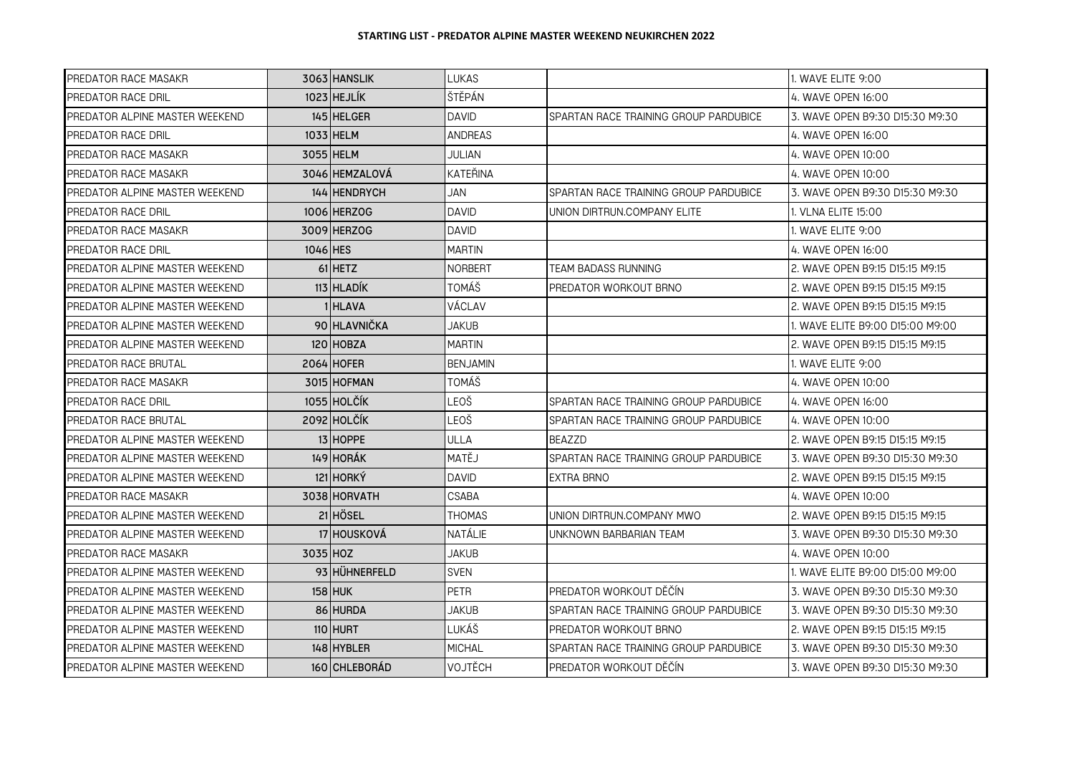| PREDATOR RACE MASAKR           | 3063 HANSLIK   | LUKAS           |                                       | 1. WAVE ELITE 9:00               |
|--------------------------------|----------------|-----------------|---------------------------------------|----------------------------------|
| PREDATOR RACE DRIL             | $1023$ HEJLÍK  | ŠTĚPÁN          |                                       | 4. WAVE OPEN 16:00               |
| PREDATOR ALPINE MASTER WEEKEND | 145 HELGER     | <b>DAVID</b>    | SPARTAN RACE TRAINING GROUP PARDUBICE | 3. WAVE OPEN B9:30 D15:30 M9:30  |
| PREDATOR RACE DRIL             | 1033 HELM      | <b>ANDREAS</b>  |                                       | 4. WAVE OPEN 16:00               |
| PREDATOR RACE MASAKR           | 3055 HELM      | JULIAN          |                                       | 4. WAVE OPEN 10:00               |
| PREDATOR RACE MASAKR           | 3046 HEMZALOVA | KATEŘINA        |                                       | 4. WAVE OPEN 10:00               |
| PREDATOR ALPINE MASTER WEEKEND | 144 HENDRYCH   | JAN             | SPARTAN RACE TRAINING GROUP PARDUBICE | 3. WAVE OPEN B9:30 D15:30 M9:30  |
| PREDATOR RACE DRIL             | 1006 HERZOG    | <b>DAVID</b>    | UNION DIRTRUN.COMPANY ELITE           | . VLNA ELITE 15:00               |
| PREDATOR RACE MASAKR           | 3009 HERZOG    | <b>DAVID</b>    |                                       | . WAVE ELITE 9:00                |
| PREDATOR RACE DRIL             | 1046 HES       | MARTIN          |                                       | 4. WAVE OPEN 16:00               |
| PREDATOR ALPINE MASTER WEEKEND | 61 HETZ        | <b>NORBERT</b>  | TEAM BADASS RUNNING                   | 2. WAVE OPEN B9:15 D15:15 M9:15  |
| PREDATOR ALPINE MASTER WEEKEND | 113 HLADÍK     | <b>TOMÁŠ</b>    | PREDATOR WORKOUT BRNO                 | 2. WAVE OPEN B9:15 D15:15 M9:15  |
| PREDATOR ALPINE MASTER WEEKEND | 1 I HLAVA      | VÁCLAV          |                                       | 2. WAVE OPEN B9:15 D15:15 M9:15  |
| PREDATOR ALPINE MASTER WEEKEND | 90 HLAVNIČKA   | <b>JAKUB</b>    |                                       | . WAVE ELITE B9:00 D15:00 M9:00  |
| PREDATOR ALPINE MASTER WEEKEND | 120 HOBZA      | <b>MARTIN</b>   |                                       | 2. WAVE OPEN B9:15 D15:15 M9:15  |
| <b>PREDATOR RACE BRUTAL</b>    | 2064 HOFER     | <b>BENJAMIN</b> |                                       | 1. WAVE ELITE 9:00               |
| PREDATOR RACE MASAKR           | 3015 HOFMAN    | TOMÁŠ           |                                       | 4. WAVE OPEN 10:00               |
| PREDATOR RACE DRIL             | 1055 HOLČÍK    | LEOŠ            | SPARTAN RACE TRAINING GROUP PARDUBICE | 4. WAVE OPEN 16:00               |
| PREDATOR RACE BRUTAL           | 2092 HOLČÍK    | LEOŠ            | SPARTAN RACE TRAINING GROUP PARDUBICE | 4. WAVE OPEN 10:00               |
| PREDATOR ALPINE MASTER WEEKEND | 13 HOPPE       | ULLA            | <b>BEAZZD</b>                         | 2. WAVE OPEN B9:15 D15:15 M9:15  |
| PREDATOR ALPINE MASTER WEEKEND | 149 HORÁK      | MATĚJ           | SPARTAN RACE TRAINING GROUP PARDUBICE | 3. WAVE OPEN B9:30 D15:30 M9:30  |
| PREDATOR ALPINE MASTER WEEKEND | 121 HORKÝ      | DAVID           | EXTRA BRNO                            | 2. WAVE OPEN B9:15 D15:15 M9:15  |
| PREDATOR RACE MASAKR           | 3038 HORVATH   | CSABA           |                                       | 4. WAVE OPEN 10:00               |
| PREDATOR ALPINE MASTER WEEKEND | 21 HÖSEL       | <b>THOMAS</b>   | UNION DIRTRUN.COMPANY MWO             | 2. WAVE OPEN B9:15 D15:15 M9:15  |
| PREDATOR ALPINE MASTER WEEKEND | 17 HOUSKOVÁ    | NATÁLIE         | UNKNOWN BARBARIAN TEAM                | 3. WAVE OPEN B9:30 D15:30 M9:30  |
| PREDATOR RACE MASAKR           | 3035 HOZ       | <b>JAKUB</b>    |                                       | 4. WAVE OPEN 10:00               |
| PREDATOR ALPINE MASTER WEEKEND | 93 HÜHNERFELD  | <b>SVEN</b>     |                                       | I. WAVE ELITE B9:00 D15:00 M9:00 |
| PREDATOR ALPINE MASTER WEEKEND | <b>158 HUK</b> | <b>PETR</b>     | PREDATOR WORKOUT DĚČÍN                | 3. WAVE OPEN B9:30 D15:30 M9:30  |
| PREDATOR ALPINE MASTER WEEKEND | 86 HURDA       | JAKUB           | SPARTAN RACE TRAINING GROUP PARDUBICE | 3. WAVE OPEN B9:30 D15:30 M9:30  |
| PREDATOR ALPINE MASTER WEEKEND | 110 HURT       | LUKÁŠ           | PREDATOR WORKOUT BRNO                 | 2. WAVE OPEN B9:15 D15:15 M9:15  |
| PREDATOR ALPINE MASTER WEEKEND | 148 HYBLER     | <b>MICHAL</b>   | SPARTAN RACE TRAINING GROUP PARDUBICE | 3. WAVE OPEN B9:30 D15:30 M9:30  |
| PREDATOR ALPINE MASTER WEEKEND | 160 CHLEBORÁD  | VOJTĚCH         | PREDATOR WORKOUT DĚČÍN                | 3. WAVE OPEN B9:30 D15:30 M9:30  |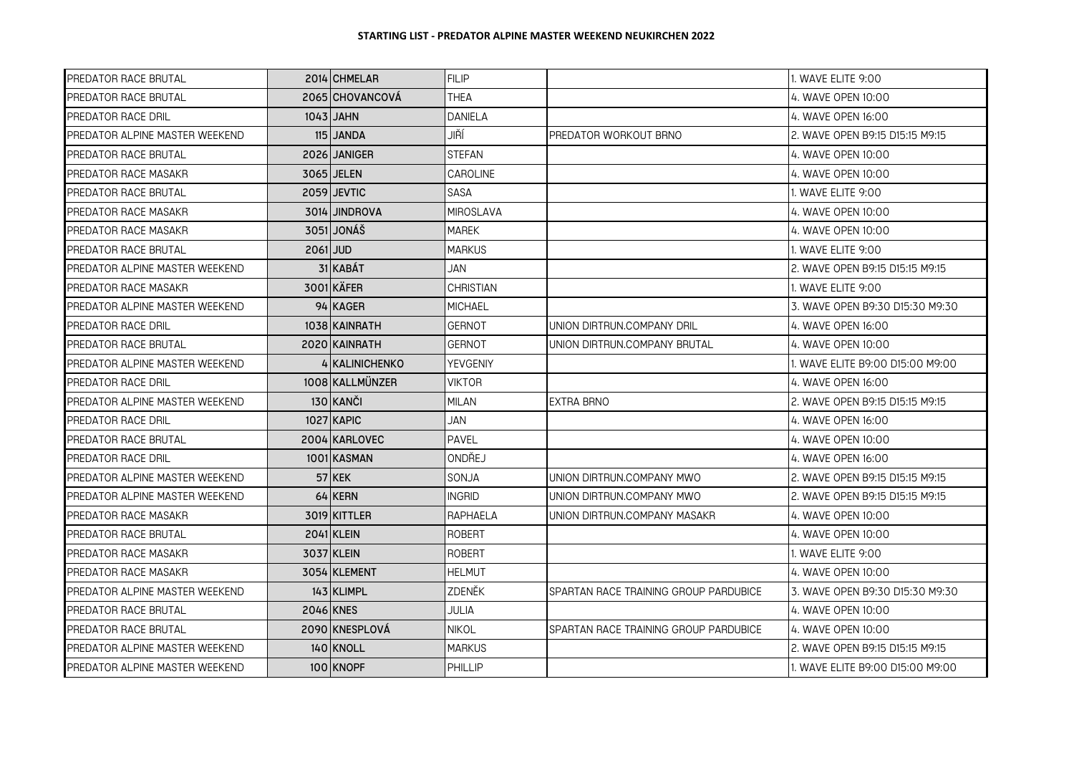| PREDATOR RACE BRUTAL           |          | 2014 CHMELAR    | <b>FILIP</b>     |                                       | 1. WAVE ELITE 9:00               |
|--------------------------------|----------|-----------------|------------------|---------------------------------------|----------------------------------|
| <b>PREDATOR RACE BRUTAL</b>    |          | 2065 CHOVANCOVÁ | <b>THEA</b>      |                                       | 4. WAVE OPEN 10:00               |
| <b>PREDATOR RACE DRIL</b>      |          | 1043 JAHN       | <b>DANIELA</b>   |                                       | 4. WAVE OPEN 16:00               |
| PREDATOR ALPINE MASTER WEEKEND |          | 115 JANDA       | JIŘÍ             | PREDATOR WORKOUT BRNO                 | 2. WAVE OPEN B9:15 D15:15 M9:15  |
| <b>PREDATOR RACE BRUTAL</b>    |          | 2026 JANIGER    | <b>STEFAN</b>    |                                       | 4. WAVE OPEN 10:00               |
| <b>PREDATOR RACE MASAKR</b>    |          | 3065 JELEN      | CAROLINE         |                                       | 4. WAVE OPEN 10:00               |
| <b>PREDATOR RACE BRUTAL</b>    |          | 2059 JEVTIC     | SASA             |                                       | 1. WAVE ELITE 9:00               |
| <b>PREDATOR RACE MASAKR</b>    |          | 3014 JINDROVA   | <b>MIROSLAVA</b> |                                       | 4. WAVE OPEN 10:00               |
| <b>PREDATOR RACE MASAKR</b>    |          | 3051 JONÁŠ      | <b>MAREK</b>     |                                       | 4. WAVE OPEN 10:00               |
| <b>PREDATOR RACE BRUTAL</b>    | 2061 JUD |                 | MARKUS           |                                       | 1. WAVE ELITE 9:00               |
| PREDATOR ALPINE MASTER WEEKEND |          | 31 KABÁT        | JAN              |                                       | 2. WAVE OPEN B9:15 D15:15 M9:15  |
| <b>PREDATOR RACE MASAKR</b>    |          | 3001 KÄFER      | <b>CHRISTIAN</b> |                                       | 1. WAVE ELITE 9:00               |
| PREDATOR ALPINE MASTER WEEKEND |          | 94 KAGER        | <b>MICHAEL</b>   |                                       | 3. WAVE OPEN B9:30 D15:30 M9:30  |
| PREDATOR RACE DRIL             |          | 1038 KAINRATH   | <b>GERNOT</b>    | UNION DIRTRUN.COMPANY DRIL            | 4. WAVE OPEN 16:00               |
| <b>PREDATOR RACE BRUTAL</b>    |          | 2020 KAINRATH   | <b>GERNOT</b>    | UNION DIRTRUN.COMPANY BRUTAL          | 4. WAVE OPEN 10:00               |
| PREDATOR ALPINE MASTER WEEKEND |          | 4 IKALINICHENKO | YEVGENIY         |                                       | 1. WAVE ELITE B9:00 D15:00 M9:00 |
| PREDATOR RACE DRIL             |          | 1008 KALLMÜNZER | <b>VIKTOR</b>    |                                       | 4. WAVE OPEN 16:00               |
| PREDATOR ALPINE MASTER WEEKEND |          | 130 KANČI       | MILAN            | <b>EXTRA BRNO</b>                     | 2. WAVE OPEN B9:15 D15:15 M9:15  |
| <b>PREDATOR RACE DRIL</b>      |          | 1027 KAPIC      | JAN              |                                       | 4. WAVE OPEN 16:00               |
| PREDATOR RACE BRUTAL           |          | 2004 KARLOVEC   | PAVEL            |                                       | 4. WAVE OPEN 10:00               |
| <b>PREDATOR RACE DRIL</b>      |          | 1001 KASMAN     | ONDŘEJ           |                                       | 4. WAVE OPEN 16:00               |
| PREDATOR ALPINE MASTER WEEKEND |          | 57 KEK          | SONJA            | UNION DIRTRUN.COMPANY MWO             | 2. WAVE OPEN B9:15 D15:15 M9:15  |
| PREDATOR ALPINE MASTER WEEKEND |          | 64 KERN         | <b>INGRID</b>    | UNION DIRTRUN.COMPANY MWO             | 2. WAVE OPEN B9:15 D15:15 M9:15  |
| <b>PREDATOR RACE MASAKR</b>    |          | 3019 KITTLER    | RAPHAELA         | UNION DIRTRUN.COMPANY MASAKR          | 4. WAVE OPEN 10:00               |
| PREDATOR RACE BRUTAL           |          | 2041 KLEIN      | <b>ROBERT</b>    |                                       | 4. WAVE OPEN 10:00               |
| <b>PREDATOR RACE MASAKR</b>    |          | 3037 KLEIN      | <b>ROBERT</b>    |                                       | 1. WAVE ELITE 9:00               |
| <b>PREDATOR RACE MASAKR</b>    |          | 3054 KLEMENT    | <b>HELMUT</b>    |                                       | 4. WAVE OPEN 10:00               |
| PREDATOR ALPINE MASTER WEEKEND |          | 143 KLIMPL      | ZDENĚK           | SPARTAN RACE TRAINING GROUP PARDUBICE | 3. WAVE OPEN B9:30 D15:30 M9:30  |
| <b>PREDATOR RACE BRUTAL</b>    |          | 2046 KNES       | JULIA            |                                       | 4. WAVE OPEN 10:00               |
| <b>PREDATOR RACE BRUTAL</b>    |          | 2090 KNESPLOVÁ  | <b>NIKOL</b>     | SPARTAN RACE TRAINING GROUP PARDUBICE | 4. WAVE OPEN 10:00               |
| PREDATOR ALPINE MASTER WEEKEND |          | 140 KNOLL       | <b>MARKUS</b>    |                                       | 2. WAVE OPEN B9:15 D15:15 M9:15  |
| PREDATOR ALPINE MASTER WEEKEND |          | 100 KNOPF       | PHILLIP          |                                       | 1. WAVE ELITE B9:00 D15:00 M9:00 |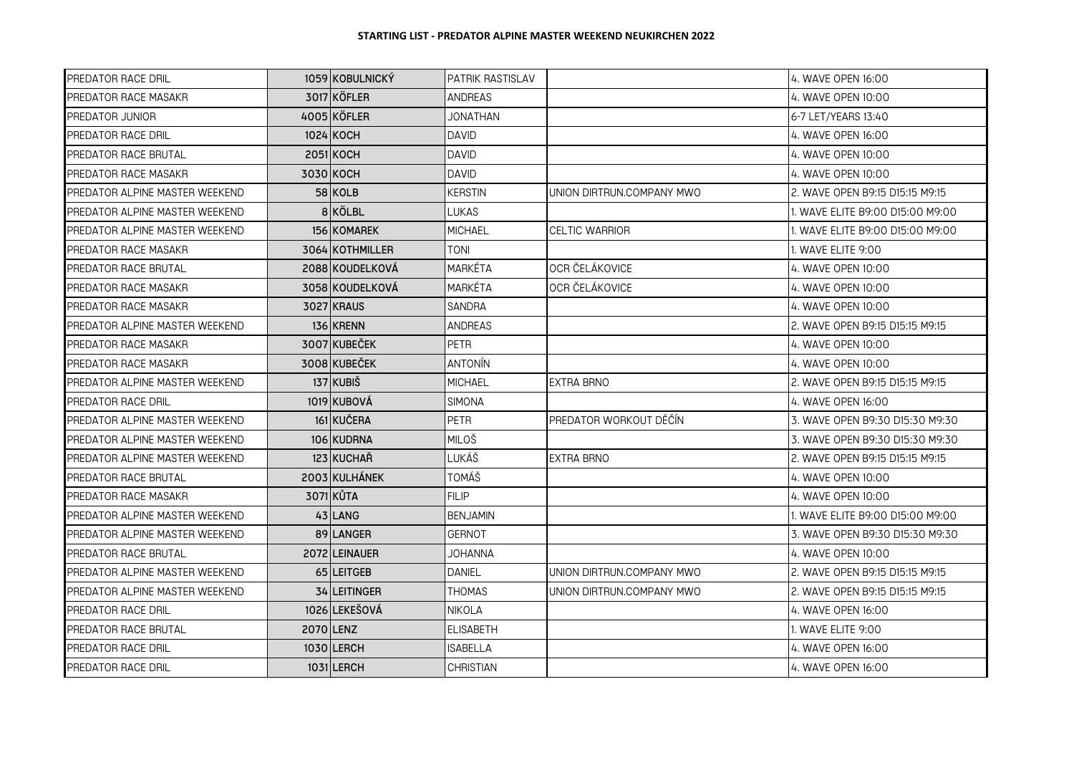| PREDATOR RACE DRIL             | 1059 KOBULNICKÝ | <b>PATRIK RASTISLAV</b> |                           | 4. WAVE OPEN 16:00               |
|--------------------------------|-----------------|-------------------------|---------------------------|----------------------------------|
| PREDATOR RACE MASAKR           | 3017 KÖFLER     | <b>ANDREAS</b>          |                           | 4. WAVE OPEN 10:00               |
| <b>PREDATOR JUNIOR</b>         | 4005 KÖFLER     | JONATHAN                |                           | 6-7 LET/YEARS 13:40              |
| PREDATOR RACE DRIL             | 1024 KOCH       | DAVID                   |                           | 4. WAVE OPEN 16:00               |
| PREDATOR RACE BRUTAL           | 2051 KOCH       | <b>DAVID</b>            |                           | 4. WAVE OPEN 10:00               |
| PREDATOR RACE MASAKR           | 3030 KOCH       | <b>DAVID</b>            |                           | 4. WAVE OPEN 10:00               |
| PREDATOR ALPINE MASTER WEEKEND | $58$ KOLB       | <b>KERSTIN</b>          | UNION DIRTRUN.COMPANY MWO | 2. WAVE OPEN B9:15 D15:15 M9:15  |
| PREDATOR ALPINE MASTER WEEKEND | 8KÖLBL          | LUKAS                   |                           | 1. WAVE ELITE B9:00 D15:00 M9:00 |
| PREDATOR ALPINE MASTER WEEKEND | 156 KOMAREK     | <b>MICHAEL</b>          | <b>CELTIC WARRIOR</b>     | 1. WAVE ELITE B9:00 D15:00 M9:00 |
| PREDATOR RACE MASAKR           | 3064 KOTHMILLER | TONI                    |                           | 1. WAVE ELITE 9:00               |
| PREDATOR RACE BRUTAL           | 2088 KOUDELKOVÁ | MARKÉTA                 | OCR ČELÁKOVICE            | 4. WAVE OPEN 10:00               |
| PREDATOR RACE MASAKR           | 3058 KOUDELKOVÁ | <b>MARKÉTA</b>          | OCR ČELÁKOVICE            | 4. WAVE OPEN 10:00               |
| PREDATOR RACE MASAKR           | 3027 KRAUS      | SANDRA                  |                           | 4. WAVE OPEN 10:00               |
| PREDATOR ALPINE MASTER WEEKEND | 136 KRENN       | ANDREAS                 |                           | 2. WAVE OPEN B9:15 D15:15 M9:15  |
| PREDATOR RACE MASAKR           | 3007 KUBEČEK    | <b>PETR</b>             |                           | 4. WAVE OPEN 10:00               |
| PREDATOR RACE MASAKR           | 3008 KUBEČEK    | <b>ANTONÍN</b>          |                           | 4. WAVE OPEN 10:00               |
| PREDATOR ALPINE MASTER WEEKEND | 137 KUBIŠ       | <b>MICHAEL</b>          | <b>EXTRA BRNO</b>         | 2. WAVE OPEN B9:15 D15:15 M9:15  |
| PREDATOR RACE DRIL             | 1019 KUBOVÁ     | <b>SIMONA</b>           |                           | 4. WAVE OPEN 16:00               |
| PREDATOR ALPINE MASTER WEEKEND | 161 KUČERA      | <b>PETR</b>             | PREDATOR WORKOUT DĚČÍN    | 3. WAVE OPEN B9:30 D15:30 M9:30  |
| PREDATOR ALPINE MASTER WEEKEND | 106 KUDRNA      | <b>MILOŠ</b>            |                           | 3. WAVE OPEN B9:30 D15:30 M9:30  |
| PREDATOR ALPINE MASTER WEEKEND | 123 KUCHAŘ      | LUKÁŠ                   | EXTRA BRNO                | 2. WAVE OPEN B9:15 D15:15 M9:15  |
| PREDATOR RACE BRUTAL           | 2003 KULHÁNEK   | TOMÁŠ                   |                           | 4. WAVE OPEN 10:00               |
| PREDATOR RACE MASAKR           | 3071 KŮTA       | <b>FILIP</b>            |                           | 4. WAVE OPEN 10:00               |
| PREDATOR ALPINE MASTER WEEKEND | 43 LANG         | <b>BENJAMIN</b>         |                           | 1. WAVE ELITE B9:00 D15:00 M9:00 |
| PREDATOR ALPINE MASTER WEEKEND | 89 LANGER       | <b>GERNOT</b>           |                           | 3. WAVE OPEN B9:30 D15:30 M9:30  |
| PREDATOR RACE BRUTAL           | 2072 LEINAUER   | JOHANNA                 |                           | 4. WAVE OPEN 10:00               |
| PREDATOR ALPINE MASTER WEEKEND | 65 LEITGEB      | <b>DANIEL</b>           | UNION DIRTRUN.COMPANY MWO | 2. WAVE OPEN B9:15 D15:15 M9:15  |
| PREDATOR ALPINE MASTER WEEKEND | 34 LEITINGER    | THOMAS                  | UNION DIRTRUN.COMPANY MWO | 2. WAVE OPEN B9:15 D15:15 M9:15  |
| PREDATOR RACE DRIL             | 1026 LEKEŠOVÁ   | <b>NIKOLA</b>           |                           | 4. WAVE OPEN 16:00               |
| PREDATOR RACE BRUTAL           | 2070 LENZ       | <b>ELISABETH</b>        |                           | 1. WAVE ELITE 9:00               |
| PREDATOR RACE DRIL             | 1030 LERCH      | <b>ISABELLA</b>         |                           | 4. WAVE OPEN 16:00               |
| PREDATOR RACE DRIL             | 1031 LERCH      | CHRISTIAN               |                           | 4. WAVE OPEN 16:00               |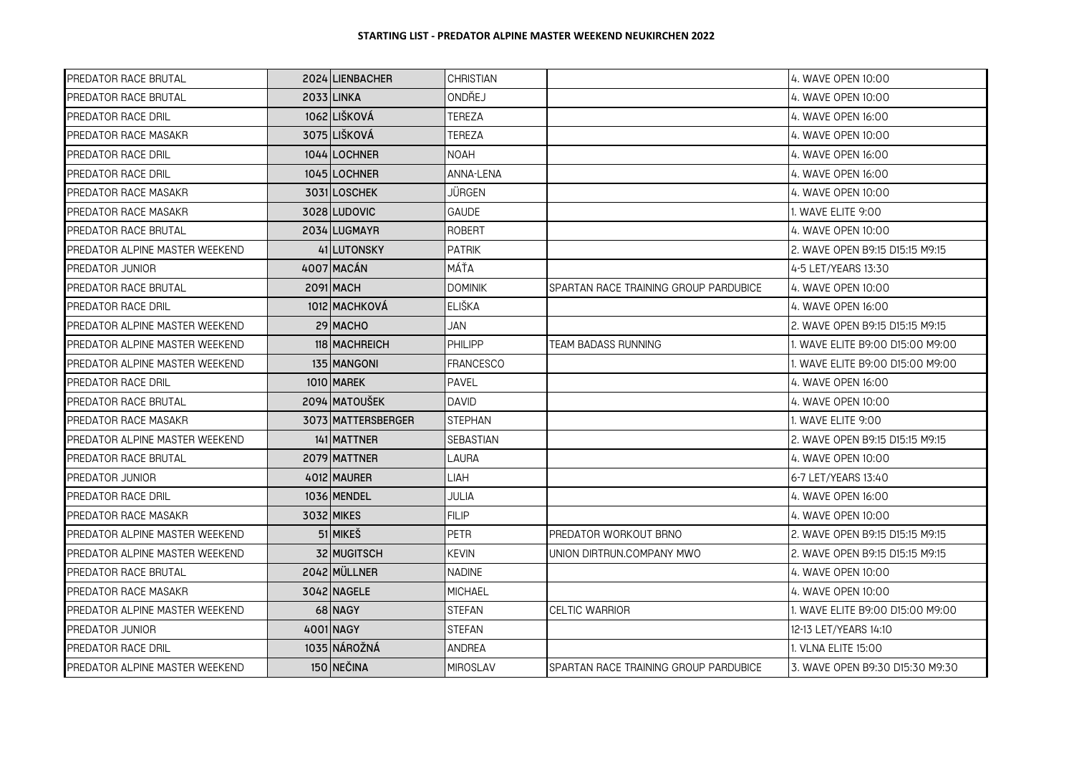| <b>PREDATOR RACE BRUTAL</b>           | 2024 LIENBACHER    | <b>CHRISTIAN</b> |                                       | 4. WAVE OPEN 10:00               |
|---------------------------------------|--------------------|------------------|---------------------------------------|----------------------------------|
| <b>PREDATOR RACE BRUTAL</b>           | 2033 LINKA         | ONDŘEJ           |                                       | 4. WAVE OPEN 10:00               |
| <b>PREDATOR RACE DRIL</b>             | 1062 LIŠKOVÁ       | TEREZA           |                                       | 4. WAVE OPEN 16:00               |
| <b>PREDATOR RACE MASAKR</b>           | 3075 LIŠKOVÁ       | TEREZA           |                                       | 4. WAVE OPEN 10:00               |
| <b>PREDATOR RACE DRIL</b>             | 1044 LOCHNER       | <b>NOAH</b>      |                                       | 4. WAVE OPEN 16:00               |
| <b>PREDATOR RACE DRIL</b>             | 1045 LOCHNER       | ANNA-LENA        |                                       | 4. WAVE OPEN 16:00               |
| <b>PREDATOR RACE MASAKR</b>           | 3031LOSCHEK        | JÜRGEN           |                                       | 4. WAVE OPEN 10:00               |
| <b>PREDATOR RACE MASAKR</b>           | 3028 LUDOVIC       | GAUDE            |                                       | 1. WAVE ELITE 9:00               |
| <b>PREDATOR RACE BRUTAL</b>           | 2034 LUGMAYR       | ROBERT           |                                       | 4. WAVE OPEN 10:00               |
| PREDATOR ALPINE MASTER WEEKEND        | 41 LUTONSKY        | <b>PATRIK</b>    |                                       | 2. WAVE OPEN B9:15 D15:15 M9:15  |
| PREDATOR JUNIOR                       | 4007 MACÁN         | MÁŤA             |                                       | 4-5 LET/YEARS 13:30              |
| <b>PREDATOR RACE BRUTAL</b>           | 2091 MACH          | <b>DOMINIK</b>   | SPARTAN RACE TRAINING GROUP PARDUBICE | 4. WAVE OPEN 10:00               |
| <b>PREDATOR RACE DRIL</b>             | 1012 MACHKOVÁ      | <b>ELIŠKA</b>    |                                       | 4. WAVE OPEN 16:00               |
| PREDATOR ALPINE MASTER WEEKEND        | 29 MACHO           | JAN              |                                       | 2. WAVE OPEN B9:15 D15:15 M9:15  |
| PREDATOR ALPINE MASTER WEEKEND        | 118 MACHREICH      | <b>PHILIPP</b>   | TEAM BADASS RUNNING                   | 1. WAVE ELITE B9:00 D15:00 M9:00 |
| PREDATOR ALPINE MASTER WEEKEND        | 135 MANGONI        | <b>FRANCESCO</b> |                                       | 1. WAVE ELITE B9:00 D15:00 M9:00 |
| PREDATOR RACE DRIL                    | 1010 MAREK         | <b>PAVEL</b>     |                                       | 4. WAVE OPEN 16:00               |
| <b>PREDATOR RACE BRUTAL</b>           | 2094 MATOUŠEK      | DAVID            |                                       | 4. WAVE OPEN 10:00               |
| <b>PREDATOR RACE MASAKR</b>           | 3073 MATTERSBERGER | <b>STEPHAN</b>   |                                       | 1. WAVE ELITE 9:00               |
| PREDATOR ALPINE MASTER WEEKEND        | 141 MATTNER        | <b>SEBASTIAN</b> |                                       | 2. WAVE OPEN B9:15 D15:15 M9:15  |
| PREDATOR RACE BRUTAL                  | 2079 MATTNER       | LAURA            |                                       | 4. WAVE OPEN 10:00               |
| PREDATOR JUNIOR                       | 4012 MAURER        | LIAH             |                                       | 6-7 LET/YEARS 13:40              |
| PREDATOR RACE DRIL                    | 1036 MENDEL        | JULIA            |                                       | 4. WAVE OPEN 16:00               |
| <b>PREDATOR RACE MASAKR</b>           | 3032 MIKES         | <b>FILIP</b>     |                                       | 4. WAVE OPEN 10:00               |
| PREDATOR ALPINE MASTER WEEKEND        | 51 MIKES           | PETR             | PREDATOR WORKOUT BRNO                 | 2. WAVE OPEN B9:15 D15:15 M9:15  |
| <b>PREDATOR ALPINE MASTER WEEKEND</b> | 32 MUGITSCH        | <b>KEVIN</b>     | UNION DIRTRUN.COMPANY MWO             | 2. WAVE OPEN B9:15 D15:15 M9:15  |
| <b>PREDATOR RACE BRUTAL</b>           | 2042 MÜLLNER       | <b>NADINE</b>    |                                       | 4. WAVE OPEN 10:00               |
| <b>PREDATOR RACE MASAKR</b>           | 3042 NAGELE        | <b>MICHAEL</b>   |                                       | 4. WAVE OPEN 10:00               |
| PREDATOR ALPINE MASTER WEEKEND        | 68 NAGY            | <b>STEFAN</b>    | CELTIC WARRIOR                        | 1. WAVE ELITE B9:00 D15:00 M9:00 |
| PREDATOR JUNIOR                       | 4001 NAGY          | <b>STEFAN</b>    |                                       | 12-13 LET/YEARS 14:10            |
| PREDATOR RACE DRIL                    | 1035 NÁROŽNÁ       | ANDREA           |                                       | 1. VLNA ELITE 15:00              |
| PREDATOR ALPINE MASTER WEEKEND        | 150 NEČINA         | <b>MIROSLAV</b>  | SPARTAN RACE TRAINING GROUP PARDUBICE | 3. WAVE OPEN B9:30 D15:30 M9:30  |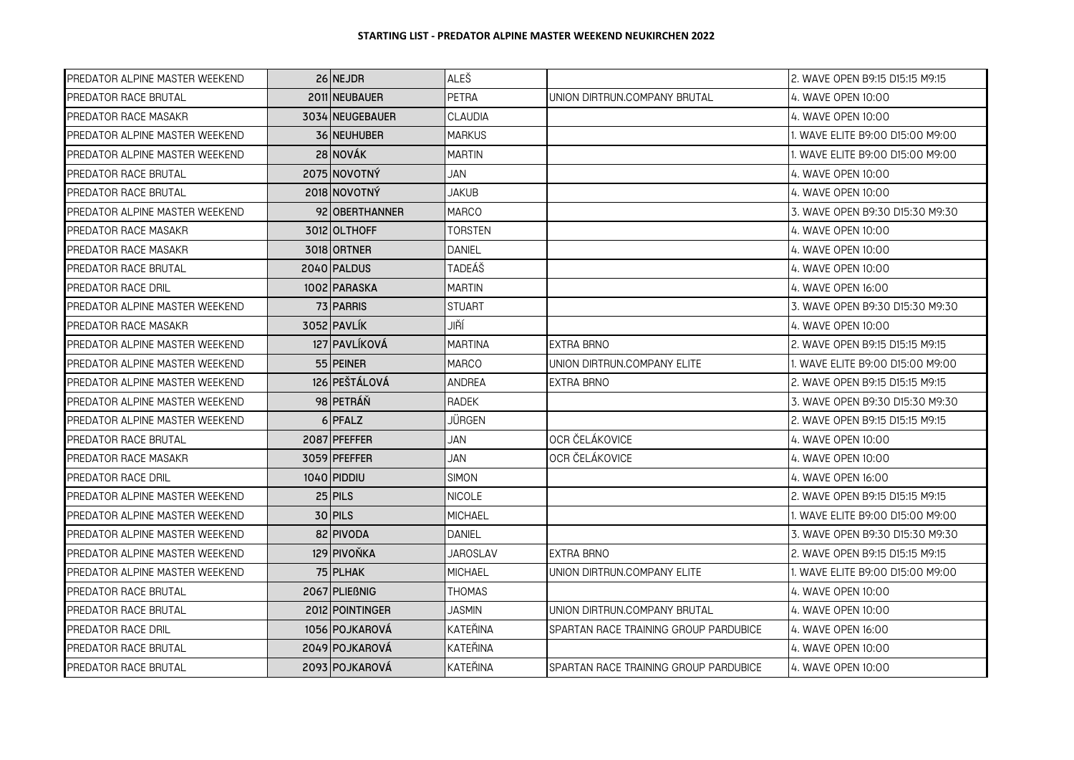| PREDATOR ALPINE MASTER WEEKEND | 26 NEJDR        | ALEŠ           |                                       | 2. WAVE OPEN B9:15 D15:15 M9:15  |
|--------------------------------|-----------------|----------------|---------------------------------------|----------------------------------|
| <b>PREDATOR RACE BRUTAL</b>    | 2011 NEUBAUER   | PETRA          | UNION DIRTRUN.COMPANY BRUTAL          | 4. WAVE OPEN 10:00               |
| <b>PREDATOR RACE MASAKR</b>    | 3034 NEUGEBAUER | <b>CLAUDIA</b> |                                       | 4. WAVE OPEN 10:00               |
| PREDATOR ALPINE MASTER WEEKEND | 36 NEUHUBER     | <b>MARKUS</b>  |                                       | 1. WAVE ELITE B9:00 D15:00 M9:00 |
| PREDATOR ALPINE MASTER WEEKEND | 28 NOVÁK        | <b>MARTIN</b>  |                                       | 1. WAVE ELITE B9:00 D15:00 M9:00 |
| PREDATOR RACE BRUTAL           | 2075 NOVOTNÝ    | JAN            |                                       | 4. WAVE OPEN 10:00               |
| PREDATOR RACE BRUTAL           | 2018 NOVOTNÝ    | JAKUB          |                                       | 4. WAVE OPEN 10:00               |
| PREDATOR ALPINE MASTER WEEKEND | 92 OBERTHANNER  | <b>MARCO</b>   |                                       | 3. WAVE OPEN B9:30 D15:30 M9:30  |
| <b>PREDATOR RACE MASAKR</b>    | 3012 OLTHOFF    | <b>TORSTEN</b> |                                       | 4. WAVE OPEN 10:00               |
| <b>PREDATOR RACE MASAKR</b>    | 3018 ORTNER     | DANIEL         |                                       | 4. WAVE OPEN 10:00               |
| <b>PREDATOR RACE BRUTAL</b>    | 2040 PALDUS     | TADEÁŠ         |                                       | 4. WAVE OPEN 10:00               |
| <b>PREDATOR RACE DRIL</b>      | 1002 PARASKA    | <b>MARTIN</b>  |                                       | 4. WAVE OPEN 16:00               |
| PREDATOR ALPINE MASTER WEEKEND | 73 PARRIS       | <b>STUART</b>  |                                       | 3. WAVE OPEN B9:30 D15:30 M9:30  |
| <b>PREDATOR RACE MASAKR</b>    | 3052 PAVLÍK     | JIŘÍ           |                                       | 4. WAVE OPEN 10:00               |
| PREDATOR ALPINE MASTER WEEKEND | 127 PAVLÍKOVÁ   | <b>MARTINA</b> | EXTRA BRNO                            | 2. WAVE OPEN B9:15 D15:15 M9:15  |
| PREDATOR ALPINE MASTER WEEKEND | 55 PEINER       | <b>MARCO</b>   | UNION DIRTRUN.COMPANY ELITE           | 1. WAVE ELITE B9:00 D15:00 M9:00 |
| PREDATOR ALPINE MASTER WEEKEND | 126 PEŠTÁLOVÁ   | ANDREA         | <b>EXTRA BRNO</b>                     | 2. WAVE OPEN B9:15 D15:15 M9:15  |
| PREDATOR ALPINE MASTER WEEKEND | 98 PETRÁŇ       | RADEK          |                                       | 3. WAVE OPEN B9:30 D15:30 M9:30  |
| PREDATOR ALPINE MASTER WEEKEND | 6 PFALZ         | JÜRGEN         |                                       | 2. WAVE OPEN B9:15 D15:15 M9:15  |
| <b>PREDATOR RACE BRUTAL</b>    | 2087 PFEFFER    | JAN            | OCR ČELÁKOVICE                        | 4. WAVE OPEN 10:00               |
| PREDATOR RACE MASAKR           | 3059 PFEFFER    | JAN            | OCR ČELÁKOVICE                        | 4. WAVE OPEN 10:00               |
| PREDATOR RACE DRIL             | 1040 PIDDIU     | <b>SIMON</b>   |                                       | 4. WAVE OPEN 16:00               |
| PREDATOR ALPINE MASTER WEEKEND | $25$ PILS       | <b>NICOLE</b>  |                                       | 2. WAVE OPEN B9:15 D15:15 M9:15  |
| PREDATOR ALPINE MASTER WEEKEND | $30$ PILS       | <b>MICHAEL</b> |                                       | 1. WAVE ELITE B9:00 D15:00 M9:00 |
| PREDATOR ALPINE MASTER WEEKEND | 82 PIVODA       | <b>DANIEL</b>  |                                       | 3. WAVE OPEN B9:30 D15:30 M9:30  |
| PREDATOR ALPINE MASTER WEEKEND | 129 PIVOŇKA     | JAROSLAV       | EXTRA BRNO                            | 2. WAVE OPEN B9:15 D15:15 M9:15  |
| PREDATOR ALPINE MASTER WEEKEND | 75 PLHAK        | <b>MICHAEL</b> | UNION DIRTRUN.COMPANY ELITE           | 1. WAVE ELITE B9:00 D15:00 M9:00 |
| <b>PREDATOR RACE BRUTAL</b>    | 2067 PLIEBNIG   | <b>THOMAS</b>  |                                       | 4. WAVE OPEN 10:00               |
| <b>PREDATOR RACE BRUTAL</b>    | 2012 POINTINGER | JASMIN         | UNION DIRTRUN.COMPANY BRUTAL          | 4. WAVE OPEN 10:00               |
| PREDATOR RACE DRIL             | 1056 IPOJKAROVÁ | KATEŘINA       | SPARTAN RACE TRAINING GROUP PARDUBICE | 4. WAVE OPEN 16:00               |
| <b>PREDATOR RACE BRUTAL</b>    | 2049 POJKAROVÁ  | KATEŘINA       |                                       | 4. WAVE OPEN 10:00               |
| <b>PREDATOR RACE BRUTAL</b>    | 2093 POJKAROVÁ  | KATEŘINA       | SPARTAN RACE TRAINING GROUP PARDUBICE | 4. WAVE OPEN 10:00               |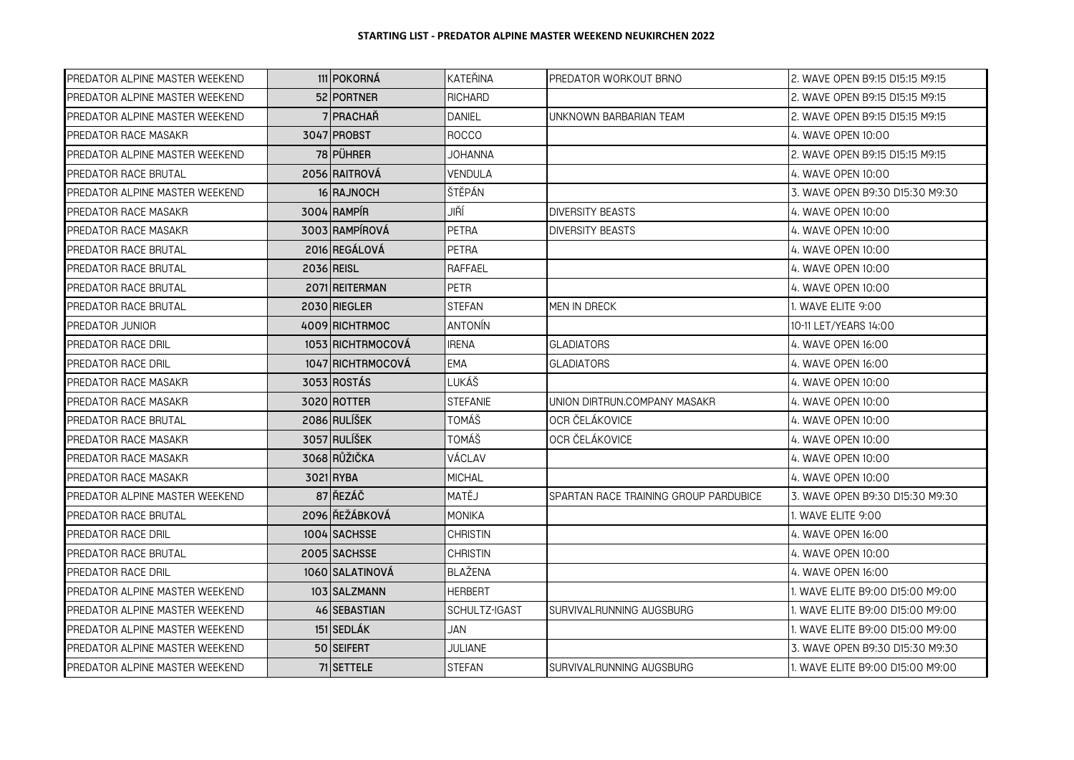| PREDATOR ALPINE MASTER WEEKEND | 111 POKORNÁ       | KATEŘINA        | PREDATOR WORKOUT BRNO                 | 2. WAVE OPEN B9:15 D15:15 M9:15  |
|--------------------------------|-------------------|-----------------|---------------------------------------|----------------------------------|
| PREDATOR ALPINE MASTER WEEKEND | 52 PORTNER        | <b>RICHARD</b>  |                                       | 2. WAVE OPEN B9:15 D15:15 M9:15  |
| PREDATOR ALPINE MASTER WEEKEND | 7 PRACHAŘ         | <b>DANIEL</b>   | UNKNOWN BARBARIAN TEAM                | 2. WAVE OPEN B9:15 D15:15 M9:15  |
| PREDATOR RACE MASAKR           | 3047 PROBST       | <b>ROCCO</b>    |                                       | 4. WAVE OPEN 10:00               |
| PREDATOR ALPINE MASTER WEEKEND | 78 PÜHRER         | JOHANNA         |                                       | 2. WAVE OPEN B9:15 D15:15 M9:15  |
| PREDATOR RACE BRUTAL           | 2056 RAITROVÁ     | VENDULA         |                                       | 4. WAVE OPEN 10:00               |
| PREDATOR ALPINE MASTER WEEKEND | 16 RAJNOCH        | ŠTĚPÁN          |                                       | 3. WAVE OPEN B9:30 D15:30 M9:30  |
| PREDATOR RACE MASAKR           | 3004 RAMPÍR       | JIŘÍ            | <b>DIVERSITY BEASTS</b>               | 4. WAVE OPEN 10:00               |
| PREDATOR RACE MASAKR           | 3003 RAMPÍROVÁ    | PETRA           | <b>DIVERSITY BEASTS</b>               | 4. WAVE OPEN 10:00               |
| PREDATOR RACE BRUTAL           | 2016 REGÁLOVÁ     | PETRA           |                                       | 4. WAVE OPEN 10:00               |
| PREDATOR RACE BRUTAL           | 2036 REISL        | RAFFAEL         |                                       | 4. WAVE OPEN 10:00               |
| PREDATOR RACE BRUTAL           | 2071 REITERMAN    | <b>PETR</b>     |                                       | 4. WAVE OPEN 10:00               |
| PREDATOR RACE BRUTAL           | 2030 RIEGLER      | STEFAN          | MEN IN DRECK                          | 1. WAVE ELITE 9:00               |
| PREDATOR JUNIOR                | 4009 RICHTRMOC    | ANTONÍN         |                                       | 10-11 LET/YEARS 14:00            |
| PREDATOR RACE DRIL             | 1053 RICHTRMOCOVÁ | <b>IRENA</b>    | <b>GLADIATORS</b>                     | 4. WAVE OPEN 16:00               |
| PREDATOR RACE DRIL             | 1047 RICHTRMOCOVÁ | <b>EMA</b>      | <b>GLADIATORS</b>                     | 4. WAVE OPEN 16:00               |
| PREDATOR RACE MASAKR           | 3053 ROSTÁS       | LUKÁŠ           |                                       | 4. WAVE OPEN 10:00               |
| PREDATOR RACE MASAKR           | 3020 ROTTER       | <b>STEFANIE</b> | UNION DIRTRUN.COMPANY MASAKR          | 4. WAVE OPEN 10:00               |
| PREDATOR RACE BRUTAL           | 2086 RULÍŠEK      | TOMÁŠ           | OCR ČELÁKOVICE                        | 4. WAVE OPEN 10:00               |
| PREDATOR RACE MASAKR           | 3057 RULÍŠEK      | TOMÁŠ           | OCR ČELÁKOVICE                        | 4. WAVE OPEN 10:00               |
| PREDATOR RACE MASAKR           | 3068 RŮŽIČKA      | VÁCLAV          |                                       | 4. WAVE OPEN 10:00               |
| PREDATOR RACE MASAKR           | 3021 RYBA         | <b>MICHAL</b>   |                                       | 4. WAVE OPEN 10:00               |
| PREDATOR ALPINE MASTER WEEKEND | 87 ŘEZÁČ          | MATĚJ           | SPARTAN RACE TRAINING GROUP PARDUBICE | 3. WAVE OPEN B9:30 D15:30 M9:30  |
| PREDATOR RACE BRUTAL           | 2096 ŘEŽÁBKOVÁ    | <b>MONIKA</b>   |                                       | 1. WAVE ELITE 9:00               |
| PREDATOR RACE DRIL             | 1004 SACHSSE      | <b>CHRISTIN</b> |                                       | 4. WAVE OPEN 16:00               |
| PREDATOR RACE BRUTAL           | 2005 SACHSSE      | <b>CHRISTIN</b> |                                       | 4. WAVE OPEN 10:00               |
| PREDATOR RACE DRIL             | 1060 SALATINOVÁ   | BLAŽENA         |                                       | 4. WAVE OPEN 16:00               |
| PREDATOR ALPINE MASTER WEEKEND | 103 SALZMANN      | <b>HERBERT</b>  |                                       | 1. WAVE ELITE B9:00 D15:00 M9:00 |
| PREDATOR ALPINE MASTER WEEKEND | 46 SEBASTIAN      | SCHULTZ-IGAST   | SURVIVALRUNNING AUGSBURG              | 1. WAVE ELITE B9:00 D15:00 M9:00 |
| PREDATOR ALPINE MASTER WEEKEND | 151 SEDLÁK        | JAN             |                                       | 1. WAVE ELITE B9:00 D15:00 M9:00 |
| PREDATOR ALPINE MASTER WEEKEND | 50 SEIFERT        | <b>JULIANE</b>  |                                       | 3. WAVE OPEN B9:30 D15:30 M9:30  |
| PREDATOR ALPINE MASTER WEEKEND | 71 SETTELE        | STEFAN          | SURVIVALRUNNING AUGSBURG              | 1. WAVE ELITE B9:00 D15:00 M9:00 |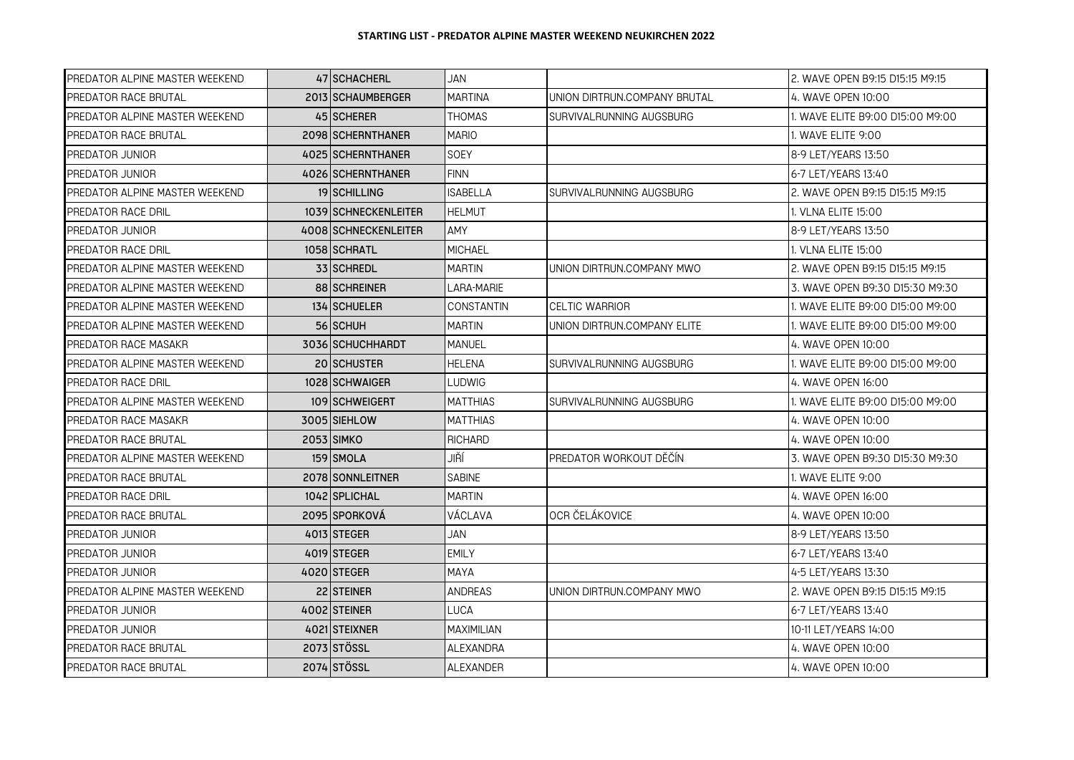| PREDATOR ALPINE MASTER WEEKEND | 47 SCHACHERL         | JAN               |                              | 2. WAVE OPEN B9:15 D15:15 M9:15  |
|--------------------------------|----------------------|-------------------|------------------------------|----------------------------------|
| PREDATOR RACE BRUTAL           | 2013 SCHAUMBERGER    | <b>MARTINA</b>    | UNION DIRTRUN.COMPANY BRUTAL | 4. WAVE OPEN 10:00               |
| PREDATOR ALPINE MASTER WEEKEND | 45 SCHERER           | <b>THOMAS</b>     | SURVIVALRUNNING AUGSBURG     | 1. WAVE ELITE B9:00 D15:00 M9:00 |
| PREDATOR RACE BRUTAL           | 2098 SCHERNTHANER    | <b>MARIO</b>      |                              | 1. WAVE ELITE 9:00               |
| PREDATOR JUNIOR                | 4025 SCHERNTHANER    | SOEY              |                              | 8-9 LET/YEARS 13:50              |
| PREDATOR JUNIOR                | 4026 SCHERNTHANER    | <b>FINN</b>       |                              | 6-7 LET/YEARS 13:40              |
| PREDATOR ALPINE MASTER WEEKEND | <b>19 SCHILLING</b>  | ISABELLA          | SURVIVALRUNNING AUGSBURG     | 2. WAVE OPEN B9:15 D15:15 M9:15  |
| PREDATOR RACE DRIL             | 1039 SCHNECKENLEITER | <b>HELMUT</b>     |                              | 1. VLNA ELITE 15:00              |
| PREDATOR JUNIOR                | 4008 SCHNECKENLEITER | AMY               |                              | 8-9 LET/YEARS 13:50              |
| PREDATOR RACE DRIL             | 1058 SCHRATL         | <b>MICHAEL</b>    |                              | 1. VLNA ELITE 15:00              |
| PREDATOR ALPINE MASTER WEEKEND | 33 SCHREDL           | MARTIN            | UNION DIRTRUN.COMPANY MWO    | 2. WAVE OPEN B9:15 D15:15 M9:15  |
| PREDATOR ALPINE MASTER WEEKEND | 88 SCHREINER         | LARA-MARIE        |                              | 3. WAVE OPEN B9:30 D15:30 M9:30  |
| PREDATOR ALPINE MASTER WEEKEND | 134 SCHUELER         | <b>CONSTANTIN</b> | <b>CELTIC WARRIOR</b>        | 1. WAVE ELITE B9:00 D15:00 M9:00 |
| PREDATOR ALPINE MASTER WEEKEND | 56 SCHUH             | <b>MARTIN</b>     | UNION DIRTRUN.COMPANY ELITE  | 1. WAVE ELITE B9:00 D15:00 M9:00 |
| PREDATOR RACE MASAKR           | 3036 SCHUCHHARDT     | <b>MANUEL</b>     |                              | 4. WAVE OPEN 10:00               |
| PREDATOR ALPINE MASTER WEEKEND | 20 SCHUSTER          | <b>HELENA</b>     | SURVIVALRUNNING AUGSBURG     | 1. WAVE ELITE B9:00 D15:00 M9:00 |
| PREDATOR RACE DRIL             | 1028 SCHWAIGER       | LUDWIG            |                              | 4. WAVE OPEN 16:00               |
| PREDATOR ALPINE MASTER WEEKEND | 109 SCHWEIGERT       | <b>MATTHIAS</b>   | SURVIVALRUNNING AUGSBURG     | 1. WAVE ELITE B9:00 D15:00 M9:00 |
| PREDATOR RACE MASAKR           | 3005 SIEHLOW         | <b>MATTHIAS</b>   |                              | 4. WAVE OPEN 10:00               |
| PREDATOR RACE BRUTAL           | 2053 SIMKO           | <b>RICHARD</b>    |                              | 4. WAVE OPEN 10:00               |
| PREDATOR ALPINE MASTER WEEKEND | 159 SMOLA            | JIŘÍ              | PREDATOR WORKOUT DĚČÍN       | 3. WAVE OPEN B9:30 D15:30 M9:30  |
| PREDATOR RACE BRUTAL           | 2078 SONNLEITNER     | <b>SABINE</b>     |                              | 1. WAVE ELITE 9:00               |
| PREDATOR RACE DRIL             | 1042 SPLICHAL        | <b>MARTIN</b>     |                              | 4. WAVE OPEN 16:00               |
| PREDATOR RACE BRUTAL           | 2095 SPORKOVÁ        | VÁCLAVA           | OCR ČELÁKOVICE               | 4. WAVE OPEN 10:00               |
| PREDATOR JUNIOR                | 4013 STEGER          | JAN               |                              | 8-9 LET/YEARS 13:50              |
| PREDATOR JUNIOR                | 4019 STEGER          | <b>EMILY</b>      |                              | 6-7 LET/YEARS 13:40              |
| PREDATOR JUNIOR                | 4020 STEGER          | MAYA              |                              | 4-5 LET/YEARS 13:30              |
| PREDATOR ALPINE MASTER WEEKEND | 22 STEINER           | <b>ANDREAS</b>    | UNION DIRTRUN.COMPANY MWO    | 2. WAVE OPEN B9:15 D15:15 M9:15  |
| PREDATOR JUNIOR                | 4002 STEINER         | LUCA              |                              | 6-7 LET/YEARS 13:40              |
| PREDATOR JUNIOR                | 4021 STEIXNER        | <b>MAXIMILIAN</b> |                              | 10-11 LET/YEARS 14:00            |
| PREDATOR RACE BRUTAL           | 2073 STÖSSL          | <b>ALEXANDRA</b>  |                              | 4. WAVE OPEN 10:00               |
| PREDATOR RACE BRUTAL           | 2074 STÖSSL          | ALEXANDER         |                              | 4. WAVE OPEN 10:00               |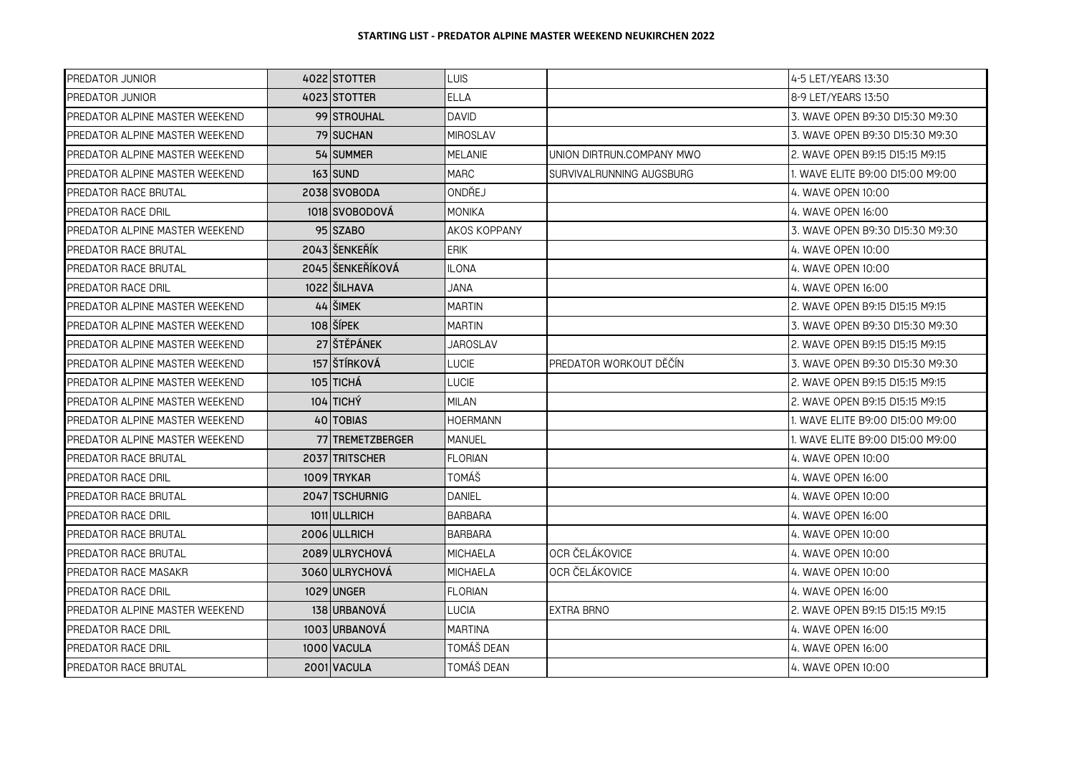| PREDATOR JUNIOR                | 4022 STOTTER                                  | <b>LUIS</b>         |                           | 4-5 LET/YEARS 13:30              |
|--------------------------------|-----------------------------------------------|---------------------|---------------------------|----------------------------------|
| PREDATOR JUNIOR                | 4023 STOTTER                                  | <b>ELLA</b>         |                           | 8-9 LET/YEARS 13:50              |
| PREDATOR ALPINE MASTER WEEKEND | 99 STROUHAL                                   | <b>DAVID</b>        |                           | 3. WAVE OPEN B9:30 D15:30 M9:30  |
| PREDATOR ALPINE MASTER WEEKEND | 79 SUCHAN                                     | <b>MIROSLAV</b>     |                           | 3. WAVE OPEN B9:30 D15:30 M9:30  |
| PREDATOR ALPINE MASTER WEEKEND | 54 SUMMER                                     | <b>MELANIE</b>      | UNION DIRTRUN.COMPANY MWO | 2. WAVE OPEN B9:15 D15:15 M9:15  |
| PREDATOR ALPINE MASTER WEEKEND | $163$ SUND                                    | <b>MARC</b>         | SURVIVALRUNNING AUGSBURG  | 1. WAVE ELITE B9:00 D15:00 M9:00 |
| PREDATOR RACE BRUTAL           | 2038 SVOBODA                                  | ONDŘEJ              |                           | 4. WAVE OPEN 10:00               |
| PREDATOR RACE DRIL             | 1018 SVOBODOVÁ                                | <b>MONIKA</b>       |                           | 4. WAVE OPEN 16:00               |
| PREDATOR ALPINE MASTER WEEKEND | 95 SZABO                                      | <b>AKOS KOPPANY</b> |                           | 3. WAVE OPEN B9:30 D15:30 M9:30  |
| <b>PREDATOR RACE BRUTAL</b>    | 2043 ŠENKEŘÍK                                 | <b>ERIK</b>         |                           | 4. WAVE OPEN 10:00               |
| PREDATOR RACE BRUTAL           | 2045 ŠENKEŘÍKOVÁ                              | <b>ILONA</b>        |                           | 4. WAVE OPEN 10:00               |
| PREDATOR RACE DRIL             | 1022 ŠILHAVA                                  | <b>JANA</b>         |                           | 4. WAVE OPEN 16:00               |
| PREDATOR ALPINE MASTER WEEKEND | $44$ $\overline{\smash{\text{S}}\text{IMEK}}$ | <b>MARTIN</b>       |                           | 2. WAVE OPEN B9:15 D15:15 M9:15  |
| PREDATOR ALPINE MASTER WEEKEND | $108$ ŠÍPEK                                   | <b>MARTIN</b>       |                           | 3. WAVE OPEN B9:30 D15:30 M9:30  |
| PREDATOR ALPINE MASTER WEEKEND | 27 ŠTĚPÁNEK                                   | <b>JAROSLAV</b>     |                           | 2. WAVE OPEN B9:15 D15:15 M9:15  |
| PREDATOR ALPINE MASTER WEEKEND | 157 ŠTÍRKOVÁ                                  | LUCIE               | PREDATOR WORKOUT DĚČÍN    | 3. WAVE OPEN B9:30 D15:30 M9:30  |
| PREDATOR ALPINE MASTER WEEKEND | 105 TICHÁ                                     | <b>LUCIE</b>        |                           | 2. WAVE OPEN B9:15 D15:15 M9:15  |
| PREDATOR ALPINE MASTER WEEKEND | 104 TICHÝ                                     | <b>MILAN</b>        |                           | 2. WAVE OPEN B9:15 D15:15 M9:15  |
| PREDATOR ALPINE MASTER WEEKEND | 40 TOBIAS                                     | <b>HOERMANN</b>     |                           | 1. WAVE ELITE B9:00 D15:00 M9:00 |
| PREDATOR ALPINE MASTER WEEKEND | 77 TREMETZBERGER                              | <b>MANUEL</b>       |                           | 1. WAVE ELITE B9:00 D15:00 M9:00 |
| PREDATOR RACE BRUTAL           | 2037 TRITSCHER                                | <b>FLORIAN</b>      |                           | 4. WAVE OPEN 10:00               |
| PREDATOR RACE DRIL             | 1009 TRYKAR                                   | TOMÁŠ               |                           | 4. WAVE OPEN 16:00               |
| PREDATOR RACE BRUTAL           | 2047 TSCHURNIG                                | <b>DANIEL</b>       |                           | 4. WAVE OPEN 10:00               |
| PREDATOR RACE DRIL             | 1011 ULLRICH                                  | <b>BARBARA</b>      |                           | 4. WAVE OPEN 16:00               |
| <b>PREDATOR RACE BRUTAL</b>    | 2006 ULLRICH                                  | <b>BARBARA</b>      |                           | 4. WAVE OPEN 10:00               |
| PREDATOR RACE BRUTAL           | 2089 ULRYCHOVÁ                                | <b>MICHAELA</b>     | OCR ČELÁKOVICE            | 4. WAVE OPEN 10:00               |
| PREDATOR RACE MASAKR           | 3060 ULRYCHOVÁ                                | MICHAELA            | OCR ČELÁKOVICE            | 4. WAVE OPEN 10:00               |
| PREDATOR RACE DRIL             | 1029 UNGER                                    | <b>FLORIAN</b>      |                           | 4. WAVE OPEN 16:00               |
| PREDATOR ALPINE MASTER WEEKEND | 138 URBANOVÁ                                  | <b>LUCIA</b>        | EXTRA BRNO                | 2. WAVE OPEN B9:15 D15:15 M9:15  |
| PREDATOR RACE DRIL             | 1003 URBANOVÁ                                 | <b>MARTINA</b>      |                           | 4. WAVE OPEN 16:00               |
| PREDATOR RACE DRIL             | 1000 VACULA                                   | TOMÁŠ DEAN          |                           | 4. WAVE OPEN 16:00               |
| PREDATOR RACE BRUTAL           | 2001 VACULA                                   | TOMÁŠ DEAN          |                           | 4. WAVE OPEN 10:00               |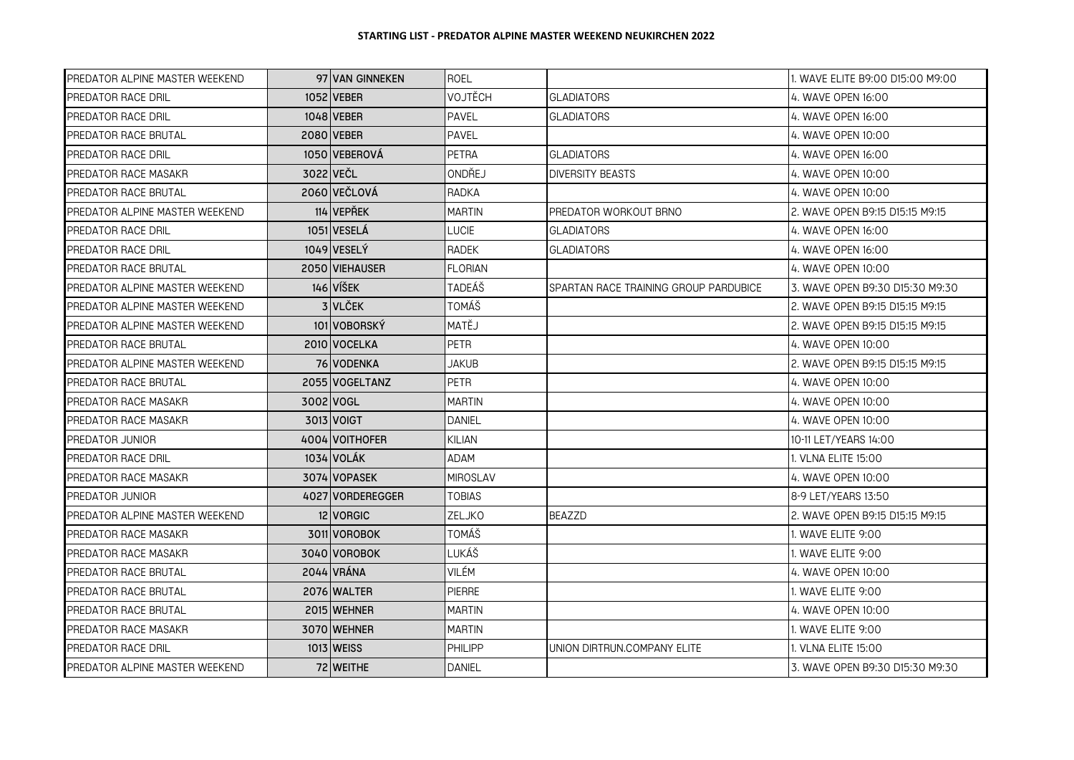| PREDATOR ALPINE MASTER WEEKEND |           | 97 VAN GINNEKEN  | <b>ROEL</b>     |                                       | 1. WAVE ELITE B9:00 D15:00 M9:00 |
|--------------------------------|-----------|------------------|-----------------|---------------------------------------|----------------------------------|
| PREDATOR RACE DRIL             |           | 1052 VEBER       | VOJTĚCH         | <b>GLADIATORS</b>                     | 4. WAVE OPEN 16:00               |
| PREDATOR RACE DRIL             |           | 1048 VEBER       | PAVEL           | <b>GLADIATORS</b>                     | 4. WAVE OPEN 16:00               |
| PREDATOR RACE BRUTAL           |           | 2080 VEBER       | <b>PAVEL</b>    |                                       | 4. WAVE OPEN 10:00               |
| PREDATOR RACE DRIL             |           | 1050 VEBEROVÁ    | PETRA           | <b>GLADIATORS</b>                     | 4. WAVE OPEN 16:00               |
| PREDATOR RACE MASAKR           | 3022 VEČL |                  | ONDŘEJ          | <b>DIVERSITY BEASTS</b>               | 4. WAVE OPEN 10:00               |
| PREDATOR RACE BRUTAL           |           | 2060 VEČLOVÁ     | RADKA           |                                       | 4. WAVE OPEN 10:00               |
| PREDATOR ALPINE MASTER WEEKEND |           | 114 VEPŘEK       | <b>MARTIN</b>   | PREDATOR WORKOUT BRNO                 | 2. WAVE OPEN B9:15 D15:15 M9:15  |
| PREDATOR RACE DRIL             |           | 1051 VESELÁ      | LUCIE           | <b>GLADIATORS</b>                     | 4. WAVE OPEN 16:00               |
| PREDATOR RACE DRIL             |           | 1049 VESELÝ      | <b>RADEK</b>    | <b>GLADIATORS</b>                     | 4. WAVE OPEN 16:00               |
| PREDATOR RACE BRUTAL           |           | 2050 VIEHAUSER   | <b>FLORIAN</b>  |                                       | 4. WAVE OPEN 10:00               |
| PREDATOR ALPINE MASTER WEEKEND |           | $146$ VÍŠEK      | TADEÁŠ          | SPARTAN RACE TRAINING GROUP PARDUBICE | 3. WAVE OPEN B9:30 D15:30 M9:30  |
| PREDATOR ALPINE MASTER WEEKEND |           | 3 VLČEK          | TOMÁŠ           |                                       | 2. WAVE OPEN B9:15 D15:15 M9:15  |
| PREDATOR ALPINE MASTER WEEKEND |           | 101 VOBORSKÝ     | MATĚJ           |                                       | 2. WAVE OPEN B9:15 D15:15 M9:15  |
| PREDATOR RACE BRUTAL           |           | 2010 VOCELKA     | <b>PETR</b>     |                                       | 4. WAVE OPEN 10:00               |
| PREDATOR ALPINE MASTER WEEKEND |           | 76 VODENKA       | JAKUB           |                                       | 2. WAVE OPEN B9:15 D15:15 M9:15  |
| PREDATOR RACE BRUTAL           |           | 2055   VOGELTANZ | <b>PETR</b>     |                                       | 4. WAVE OPEN 10:00               |
| PREDATOR RACE MASAKR           |           | 3002 VOGL        | <b>MARTIN</b>   |                                       | 4. WAVE OPEN 10:00               |
| PREDATOR RACE MASAKR           |           | 3013 VOIGT       | <b>DANIEL</b>   |                                       | 4. WAVE OPEN 10:00               |
| PREDATOR JUNIOR                |           | 4004 VOITHOFER   | KILIAN          |                                       | 10-11 LET/YEARS 14:00            |
| PREDATOR RACE DRIL             |           | 1034 VOLÁK       | ADAM            |                                       | 1. VLNA ELITE 15:00              |
| PREDATOR RACE MASAKR           |           | 3074 VOPASEK     | <b>MIROSLAV</b> |                                       | 4. WAVE OPEN 10:00               |
| PREDATOR JUNIOR                |           | 4027 VORDEREGGER | TOBIAS          |                                       | 8-9 LET/YEARS 13:50              |
| PREDATOR ALPINE MASTER WEEKEND |           | 12 VORGIC        | <b>ZELJKO</b>   | <b>BEAZZD</b>                         | 2. WAVE OPEN B9:15 D15:15 M9:15  |
| PREDATOR RACE MASAKR           |           | 3011 VOROBOK     | TOMÁŠ           |                                       | 1. WAVE ELITE 9:00               |
| PREDATOR RACE MASAKR           |           | 3040 VOROBOK     | LUKÁŠ           |                                       | 1. WAVE ELITE 9:00               |
| PREDATOR RACE BRUTAL           |           | 2044 VRÁNA       | <b>VILÉM</b>    |                                       | 4. WAVE OPEN 10:00               |
| PREDATOR RACE BRUTAL           |           | 2076 WALTER      | <b>PIERRE</b>   |                                       | 1. WAVE ELITE 9:00               |
| PREDATOR RACE BRUTAL           |           | 2015 WEHNER      | <b>MARTIN</b>   |                                       | 4. WAVE OPEN 10:00               |
| PREDATOR RACE MASAKR           |           | 3070 WEHNER      | <b>MARTIN</b>   |                                       | 1. WAVE ELITE 9:00               |
| PREDATOR RACE DRIL             |           | 1013 WEISS       | PHILIPP         | UNION DIRTRUN.COMPANY ELITE           | 1. VLNA ELITE 15:00              |
| PREDATOR ALPINE MASTER WEEKEND |           | 72 WEITHE        | <b>DANIEL</b>   |                                       | 3. WAVE OPEN B9:30 D15:30 M9:30  |